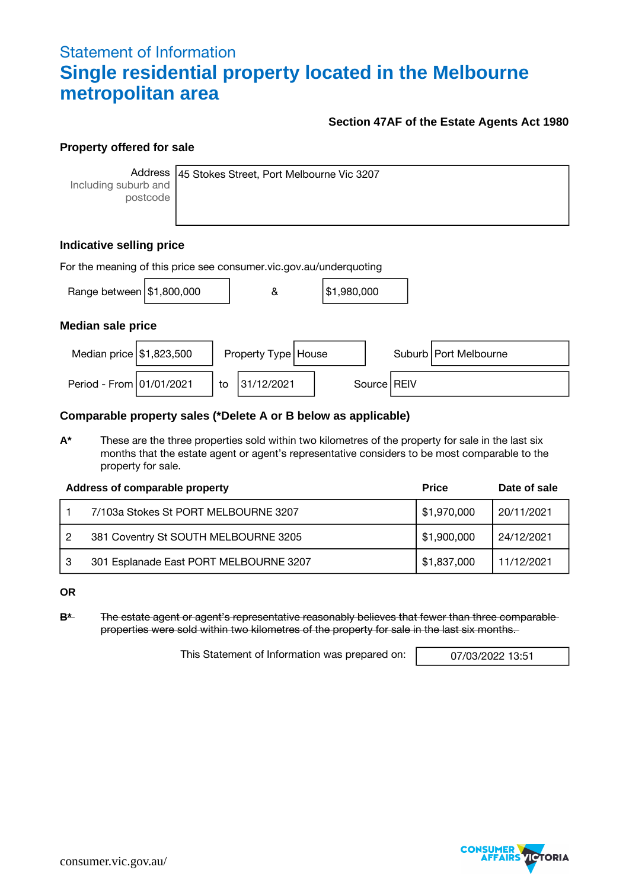## Statement of Information **Single residential property located in the Melbourne metropolitan area**

### **Section 47AF of the Estate Agents Act 1980**

### **Property offered for sale**

**Address** Including suburb and postcode

45 Stokes Street, Port Melbourne Vic 3207

### **Indicative selling price**

| For the meaning of this price see consumer vic gov au/underquoting |  |    |                       |  |             |  |               |                         |
|--------------------------------------------------------------------|--|----|-----------------------|--|-------------|--|---------------|-------------------------|
| Range between $\frac{151,800,000}{1000}$                           |  |    | &                     |  | \$1,980,000 |  |               |                         |
| <b>Median sale price</b>                                           |  |    |                       |  |             |  |               |                         |
| Median price $\frac{151,823,500}{500}$                             |  |    | Property Type   House |  |             |  |               | Suburb   Port Melbourne |
| Period - From 01/01/2021                                           |  | to | 31/12/2021            |  |             |  | Source   REIV |                         |

### **Comparable property sales (\*Delete A or B below as applicable)**

**A\*** These are the three properties sold within two kilometres of the property for sale in the last six months that the estate agent or agent's representative considers to be most comparable to the property for sale.

|   | Address of comparable property         | <b>Price</b> | Date of sale |
|---|----------------------------------------|--------------|--------------|
|   | 7/103a Stokes St PORT MELBOURNE 3207   | \$1,970,000  | 20/11/2021   |
| 2 | 381 Coventry St SOUTH MELBOURNE 3205   | \$1,900,000  | 24/12/2021   |
|   | 301 Esplanade East PORT MELBOURNE 3207 | \$1,837,000  | 11/12/2021   |

**OR**

**B\*** The estate agent or agent's representative reasonably believes that fewer than three comparable properties were sold within two kilometres of the property for sale in the last six months.

This Statement of Information was prepared on: 07/03/2022 13:51